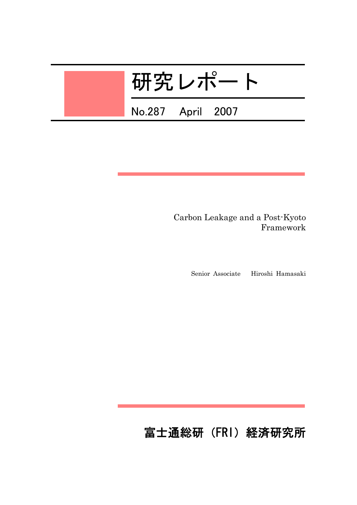# 研究レポート

No.287 April 2007

.

 Carbon Leakage and a Post-Kyoto Framework

Senior Associate Hiroshi Hamasaki

# 富士通総研(FRI)経済研究所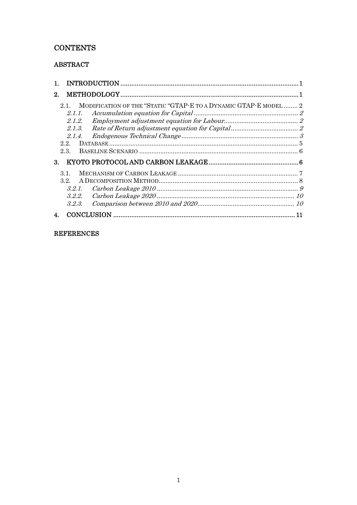# **CONTENTS**

# **ABSTRACT**

| 2. |                                                                                                                            |    |
|----|----------------------------------------------------------------------------------------------------------------------------|----|
| 3. | MODIFICATION OF THE "STATIC "GTAP-E TO A DYNAMIC GTAP-E MODEL 2<br>21<br>2.1.1<br>2.1.2.<br>2.1.3.<br>2.1.4.<br>22<br>2.3. |    |
|    | $3.1$ .<br>3.2<br>3.2.2.<br>3.2.3.                                                                                         |    |
|    |                                                                                                                            | 11 |

## **REFERENCES**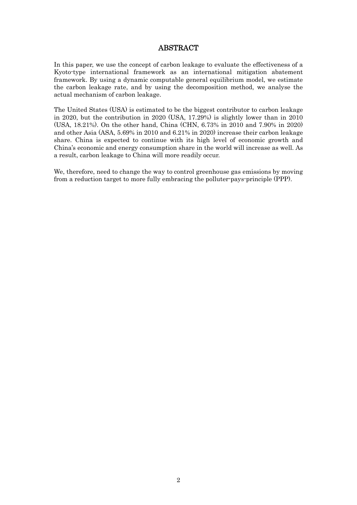### ABSTRACT

In this paper, we use the concept of carbon leakage to evaluate the effectiveness of a Kyoto-type international framework as an international mitigation abatement framework. By using a dynamic computable general equilibrium model, we estimate the carbon leakage rate, and by using the decomposition method, we analyse the actual mechanism of carbon leakage.

The United States (USA) is estimated to be the biggest contributor to carbon leakage in 2020, but the contribution in 2020 (USA, 17.29%) is slightly lower than in 2010 (USA, 18.21%). On the other hand, China (CHN, 6.73% in 2010 and 7.90% in 2020) and other Asia (ASA, 5.69% in 2010 and 6.21% in 2020) increase their carbon leakage share. China is expected to continue with its high level of economic growth and China's economic and energy consumption share in the world will increase as well. As a result, carbon leakage to China will more readily occur.

We, therefore, need to change the way to control greenhouse gas emissions by moving from a reduction target to more fully embracing the polluter-pays-principle (PPP).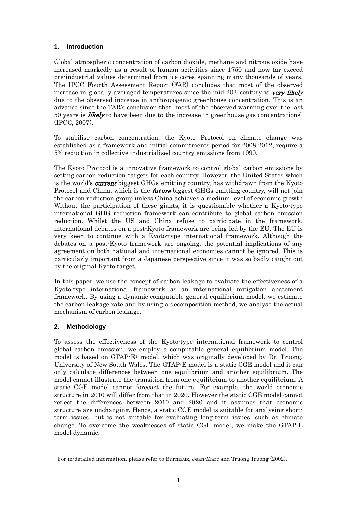#### <span id="page-3-0"></span>**1. Introduction**

Global atmospheric concentration of carbon dioxide, methane and nitrous oxide have increased markedly as a result of human activities since 1750 and now far exceed pre-industrial values determined from ice cores spanning many thousands of years. The IPCC Fourth Assessment Report (FAR) concludes that most of the observed increase in globally averaged temperatures since the mid-20<sup>th</sup> century is *very likely* due to the observed increase in anthropogenic greenhouse concentration. This is an advance since the TAR's conclusion that "most of the observed warming over the last 50 years is *likely* to have been due to the increase in greenhouse gas concentrations" (IPCC, 2007).

To stabilise carbon concentration, the Kyoto Protocol on climate change was established as a framework and initial commitments period for 2008-2012, require a 5% reduction in collective industrialised country emissions from 1990.

The Kyoto Protocol is a innovative framework to control global carbon emissions by setting carbon reduction targets for each country. However, the United States which is the world's **current** biggest GHGs emitting country, has withdrawn from the Kyoto Protocol and China, which is the *future* biggest GHGs emitting country, will not join the carbon reduction group unless China achieves a medium level of economic growth. Without the participation of these giants, it is questionable whether a Kyoto-type international GHG reduction framework can contribute to global carbon emission reduction. Whilst the US and China refuse to participate in the framework, international debates on a post-Kyoto framework are being led by the EU. The EU is very keen to continue with a Kyoto-type international framework. Although the debates on a post-Kyoto framework are ongoing, the potential implications of any agreement on both national and international economies cannot be ignored. This is particularly important from a Japanese perspective since it was so badly caught out by the original Kyoto target.

In this paper, we use the concept of carbon leakage to evaluate the effectiveness of a Kyoto-type international framework as an international mitigation abatement framework. By using a dynamic computable general equilibrium model, we estimate the carbon leakage rate and by using a decomposition method, we analyse the actual mechanism of carbon leakage.

#### **2. Methodology**

To assess the effectiveness of the Kyoto-type international framework to control global carbon emission, we employ a computable general equilibrium model. The model is based on GTAP-E[1](#page-3-1) model, which was originally developed by Dr. Truong, University of New South Wales. The GTAP-E model is a static CGE model and it can only calculate differences between one equilibrium and another equilibrium. The model cannot illustrate the transition from one equilibrium to another equilibrium. A static CGE model cannot forecast the future. For example, the world economic structure in 2010 will differ from that in 2020. However the static CGE model cannot reflect the differences between 2010 and 2020 and it assumes that economic structure are unchanging. Hence, a static CGE model is suitable for analysing shortterm issues, but is not suitable for evaluating long-term issues, such as climate change. To overcome the weaknesses of static CGE model, we make the GTAP-E model dynamic.

<span id="page-3-1"></span><sup>-</sup>1 For in-detailed information, please refer to Burniaux, Jean-Marc and Truong Truong (2002).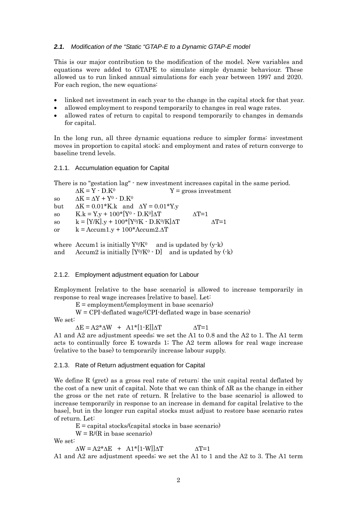#### <span id="page-4-0"></span>*2.1. Modification of the "Static "GTAP-E to a Dynamic GTAP-E model*

This is our major contribution to the modification of the model. New variables and equations were added to GTAPE to simulate simple dynamic behaviour. These allowed us to run linked annual simulations for each year between 1997 and 2020. For each region, the new equations:

- linked net investment in each year to the change in the capital stock for that year.
- allowed employment to respond temporarily to changes in real wage rates.
- allowed rates of return to capital to respond temporarily to changes in demands for capital.

In the long run, all three dynamic equations reduce to simpler forms: investment moves in proportion to capital stock; and employment and rates of return converge to baseline trend levels.

#### 2.1.1. Accumulation equation for Capital

There is no "gestation lag" - new investment increases capital in the same period.

 $\Delta K = Y \cdot D$ .  $K^0$   $Y = \text{cross investment}$ so  $\Delta K = \Delta Y + Y^0 - D$ .  $K^0$ but  $\Delta K = 0.01$ \*K.k and  $\Delta Y = 0.01$ \*Y.y so  $K.k = Y.y + 100*(Y^0 - D.K^0)\Delta T$   $\Delta T=1$ so  $k = [Y/K]$ ,  $y + 100*(Y^0/K - D.K^0/K)$  $\Delta T$   $\Delta T = 1$ or  $k = \text{Accum1.y} + 100^* \text{Accum2}.\Delta T$ 

where Accum1 is initially  $Y^0/K^0$  and is updated by  $(y-k)$ and Accum2 is initially  $[Y^0/K^0 \cdot D]$  and is updated by  $(\cdot k)$ 

#### 2.1.2. Employment adjustment equation for Labour

Employment [relative to the base scenario] is allowed to increase temporarily in response to real wage increases [relative to base]. Let:

 $E =$  employment/(employment in base scenario)

W = CPI-deflated wage/(CPI-deflated wage in base scenario)

We set:

 $\Delta E = A2^* \Delta W + A1^*[1-E] \Delta T$   $\Delta T=1$ 

A1 and A2 are adjustment speeds; we set the A1 to 0.8 and the A2 to 1. The A1 term acts to continually force E towards 1; The A2 term allows for real wage increase (relative to the base) to temporarily increase labour supply.

#### 2.1.3. Rate of Return adjustment equation for Capital

We define R (gret) as a gross real rate of return: the unit capital rental deflated by the cost of a new unit of capital. Note that we can think of  $\Delta R$  as the change in either the gross or the net rate of return. R [relative to the base scenario] is allowed to increase temporarily in response to an increase in demand for capital [relative to the base], but in the longer run capital stocks must adjust to restore base scenario rates of return. Let:

 $E =$  capital stocks/(capital stocks in base scenario)

 $W = R/(R$  in base scenario)

We set:

 $\Delta W = A2^* \Delta E + A1^*[1-W] \Delta T$   $\Delta T=1$ 

A1 and A2 are adjustment speeds; we set the A1 to 1 and the A2 to 3. The A1 term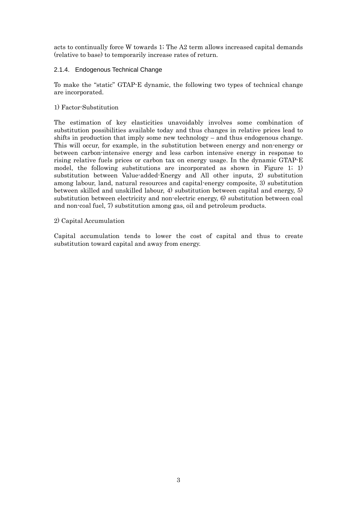<span id="page-5-0"></span>acts to continually force W towards 1; The A2 term allows increased capital demands (relative to base) to temporarily increase rates of return.

#### 2.1.4. Endogenous Technical Change

To make the "static" GTAP-E dynamic, the following two types of technical change are incorporated.

#### 1) Factor-Substitution

The estimation of key elasticities unavoidably involves some combination of substitution possibilities available today and thus changes in relative prices lead to shifts in production that imply some new technology – and thus endogenous change. This will occur, for example, in the substitution between energy and non-energy or between carbon-intensive energy and less carbon intensive energy in response to rising relative fuels prices or carbon tax on energy usage. In the dynamic GTAP-E model, the following substitutions are incorporated as shown in Figure 1; 1) substitution between Value-added-Energy and All other inputs, 2) substitution among labour, land, natural resources and capital-energy composite, 3) substitution between skilled and unskilled labour, 4) substitution between capital and energy, 5) substitution between electricity and non-electric energy, 6) substitution between coal and non-coal fuel, 7) substitution among gas, oil and petroleum products.

#### 2) Capital Accumulation

Capital accumulation tends to lower the cost of capital and thus to create substitution toward capital and away from energy.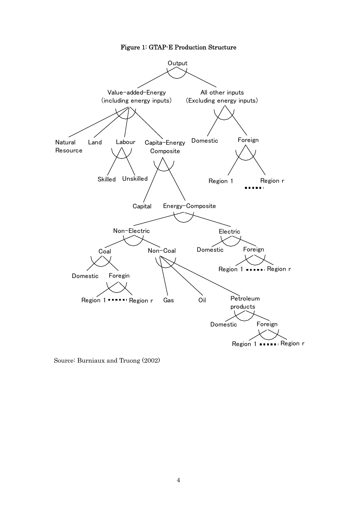

Source: Burniaux and Truong (2002)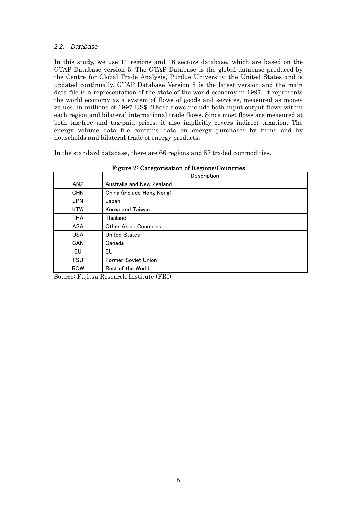#### <span id="page-7-0"></span>*2.2. Database*

In this study, we use 11 regions and 16 sectors database, which are based on the GTAP Database version 5. The GTAP Database is the global database produced by the Centre for Global Trade Analysis, Purdue University, the United States and is updated continually. GTAP Database Version 5 is the latest version and the main data file is a representation of the state of the world economy in 1997. It represents the world economy as a system of flows of goods and services, measured as money values, in millions of 1997 US\$. These flows include both input-output flows within each region and bilateral international trade flows. Since most flows are measured at both tax-free and tax-paid prices, it also implicitly covers indirect taxation. The energy volume data file contains data on energy purchases by firms and by households and bilateral trade of energy products.

In the standard database, there are 66 regions and 57 traded commodities.

|            | Description               |  |
|------------|---------------------------|--|
| ANZ        | Australia and New Zealand |  |
| <b>CHN</b> | China (include Hong Kong) |  |
| <b>JPN</b> | Japan                     |  |
| <b>KTW</b> | Korea and Taiwan          |  |
| THA        | Thailand                  |  |
| <b>ASA</b> | Other Asian Countries     |  |
| <b>USA</b> | <b>United States</b>      |  |
| CAN        | Canada                    |  |
| EU         | EU                        |  |
| <b>FSU</b> | Former Soviet Union       |  |
| <b>ROW</b> | Rest of the World         |  |

Figure 2: Categorisation of Regions/Countries

Source: Fujitsu Research Institute (FRI)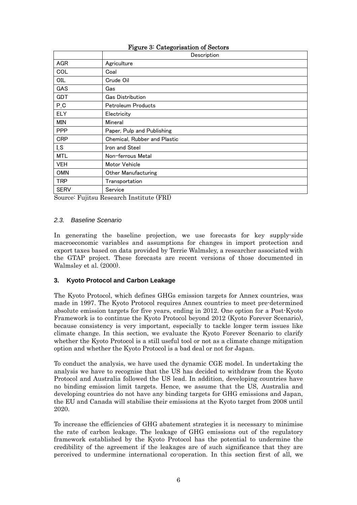<span id="page-8-0"></span>

|             | $1.54100$ categorization of Decision<br>Description |  |
|-------------|-----------------------------------------------------|--|
| <b>AGR</b>  | Agriculture                                         |  |
| COL         | Coal                                                |  |
| OIL         | Crude Oil                                           |  |
| <b>GAS</b>  | Gas                                                 |  |
| <b>GDT</b>  | <b>Gas Distribution</b>                             |  |
| $P_C$       | Petroleum Products                                  |  |
| <b>ELY</b>  | Electricity                                         |  |
| MIN         | Mineral                                             |  |
| <b>PPP</b>  | Paper, Pulp and Publishing                          |  |
| <b>CRP</b>  | Chemical, Rubber and Plastic                        |  |
| LS          | Iron and Steel                                      |  |
| <b>MTL</b>  | Non-ferrous Metal                                   |  |
| <b>VEH</b>  | Motor Vehicle                                       |  |
| <b>OMN</b>  | Other Manufacturing                                 |  |
| <b>TRP</b>  | Transportation                                      |  |
| <b>SERV</b> | Service                                             |  |

#### Figure 3: Categorisation of Sectors

Source: Fujitsu Research Institute (FRI)

#### *2.3. Baseline Scenario*

In generating the baseline projection, we use forecasts for key supply-side macroeconomic variables and assumptions for changes in import protection and export taxes based on data provided by Terrie Walmsley, a researcher associated with the GTAP project. These forecasts are recent versions of those documented in Walmsley et al. (2000).

#### **3. Kyoto Protocol and Carbon Leakage**

The Kyoto Protocol, which defines GHGs emission targets for Annex countries, was made in 1997. The Kyoto Protocol requires Annex countries to meet pre-determined absolute emission targets for five years, ending in 2012. One option for a Post-Kyoto Framework is to continue the Kyoto Protocol beyond 2012 (Kyoto Forever Scenario), because consistency is very important, especially to tackle longer term issues like climate change. In this section, we evaluate the Kyoto Forever Scenario to clarify whether the Kyoto Protocol is a still useful tool or not as a climate change mitigation option and whether the Kyoto Protocol is a bad deal or not for Japan.

To conduct the analysis, we have used the dynamic CGE model. In undertaking the analysis we have to recognise that the US has decided to withdraw from the Kyoto Protocol and Australia followed the US lead. In addition, developing countries have no binding emission limit targets. Hence, we assume that the US, Australia and developing countries do not have any binding targets for GHG emissions and Japan, the EU and Canada will stabilise their emissions at the Kyoto target from 2008 until 2020.

To increase the efficiencies of GHG abatement strategies it is necessary to minimise the rate of carbon leakage. The leakage of GHG emissions out of the regulatory framework established by the Kyoto Protocol has the potential to undermine the credibility of the agreement if the leakages are of such significance that they are perceived to undermine international co-operation. In this section first of all, we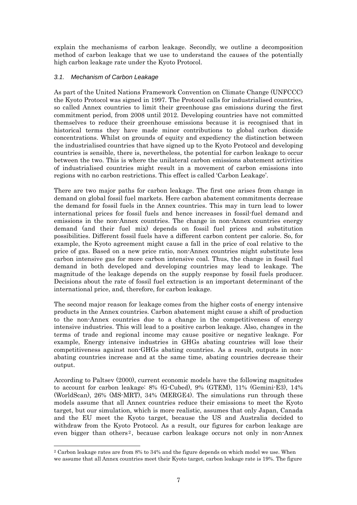<span id="page-9-0"></span>explain the mechanisms of carbon leakage. Secondly, we outline a decomposition method of carbon leakage that we use to understand the causes of the potentially high carbon leakage rate under the Kyoto Protocol.

#### *3.1. Mechanism of Carbon Leakage*

As part of the United Nations Framework Convention on Climate Change (UNFCCC) the Kyoto Protocol was signed in 1997. The Protocol calls for industrialised countries, so called Annex countries to limit their greenhouse gas emissions during the first commitment period, from 2008 until 2012. Developing countries have not committed themselves to reduce their greenhouse emissions because it is recognised that in historical terms they have made minor contributions to global carbon dioxide concentrations. Whilst on grounds of equity and expediency the distinction between the industrialised countries that have signed up to the Kyoto Protocol and developing countries is sensible, there is, nevertheless, the potential for carbon leakage to occur between the two. This is where the unilateral carbon emissions abatement activities of industrialised countries might result in a movement of carbon emissions into regions with no carbon restrictions. This effect is called 'Carbon Leakage'.

There are two major paths for carbon leakage. The first one arises from change in demand on global fossil fuel markets. Here carbon abatement commitments decrease the demand for fossil fuels in the Annex countries. This may in turn lead to lower international prices for fossil fuels and hence increases in fossil-fuel demand and emissions in the non-Annex countries. The change in non-Annex countries energy demand (and their fuel mix) depends on fossil fuel prices and substitution possibilities. Different fossil fuels have a different carbon content per calorie. So, for example, the Kyoto agreement might cause a fall in the price of coal relative to the price of gas. Based on a new price ratio, non-Annex countries might substitute less carbon intensive gas for more carbon intensive coal. Thus, the change in fossil fuel demand in both developed and developing countries may lead to leakage. The magnitude of the leakage depends on the supply response by fossil fuels producer. Decisions about the rate of fossil fuel extraction is an important determinant of the international price, and, therefore, for carbon leakage.

The second major reason for leakage comes from the higher costs of energy intensive products in the Annex countries. Carbon abatement might cause a shift of production to the non-Annex countries due to a change in the competitiveness of energy intensive industries. This will lead to a positive carbon leakage. Also, changes in the terms of trade and regional income may cause positive or negative leakage. For example, Energy intensive industries in GHGs abating countries will lose their competitiveness against non-GHGs abating countries. As a result, outputs in nonabating countries increase and at the same time, abating countries decrease their output.

According to Paltsev (2000), current economic models have the following magnitudes to account for carbon leakage: 8% (G-Cubed), 9% (GTEM), 11% (Gemini-E3), 14% (WorldScan), 26% (MS-MRT), 34% (MERGE4). The simulations run through these models assume that all Annex countries reduce their emissions to meet the Kyoto target, but our simulation, which is more realistic, assumes that only Japan, Canada and the EU meet the Kyoto target, because the US and Australia decided to withdraw from the Kyoto Protocol. As a result, our figures for carbon leakage are even bigger than others<sup>[2](#page-9-1)</sup>, because carbon leakage occurs not only in non-Annex

-

<span id="page-9-1"></span><sup>2</sup> Carbon leakage rates are from 8% to 34% and the figure depends on which model we use. When we assume that all Annex countries meet their Kyoto target, carbon leakage rate is 19%. The figure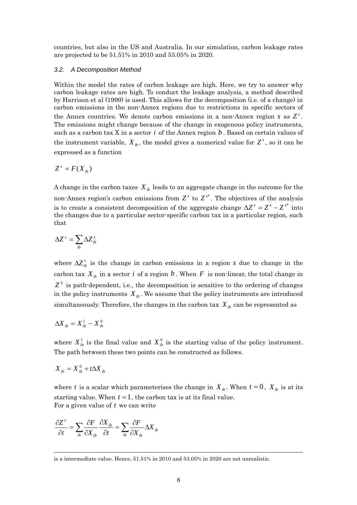<span id="page-10-0"></span>countries, but also in the US and Australia. In our simulation, carbon leakage rates are projected to be 51.51% in 2010 and 53.05% in 2020.

#### *3.2. A Decomposition Method*

Within the model the rates of carbon leakage are high. Here, we try to answer why carbon leakage rates are high. To conduct the leakage analysis, a method described by Harrison et al (1999) is used. This allows for the decomposition (i.e. of a change) in carbon emissions in the non-Annex regions due to restrictions in specific sectors of the Annex countries. We denote carbon emissions in a non-Annex region  $s$  as  $Z^s$ . The emissions might change because of the change in exogenous policy instruments, such as a carbon tax  $X$  in a sector  $i$  of the Annex region  $b$ . Based on certain values of the instrument variable,  $X_{ib}$ , the model gives a numerical value for  $Z^s$ , so it can be expressed as a function

$$
Z^s = F(X_{ib})
$$

A change in the carbon taxes  $X_{ib}$  leads to an aggregate change in the outcome for the non-Annex region's carbon emissions from  $Z^s$  to  $Z^{s^*}$ . The objectives of the analysis is to create a consistent decomposition of the aggregate change  $\Delta Z^s = Z^s - Z^{s^*}$  into the changes due to a particular sector-specific carbon tax in a particular region, such that

$$
\Delta Z^s = \sum_{ib} \Delta Z^s_{ib}
$$

where  $\Delta Z_{ib}^s$  is the change in carbon emissions in a region *s* due to change in the carbon tax  $X_{ib}$  in a sector *i* of a region b. When F is non-linear, the total change in  $Z<sup>S</sup>$  is path-dependent, i.e., the decomposition is sensitive to the ordering of changes in the policy instruments  $X_{ib}$ . We assume that the policy instruments are introduced simultaneously. Therefore, the changes in the carbon tax  $X_{ib}$  can be represented as

$$
\Delta X_{ib} = X_{ib}^1 - X_{ib}^0
$$

where  $X_{ib}^1$  is the final value and  $X_{ib}^0$  is the starting value of the policy instrument. The path between these two points can be constructed as follows.

$$
X_{ib} = X_{ib}^0 + t\Delta X_{ib}
$$

-

where t is a scalar which parameterises the change in  $X_{ib}$ . When  $t = 0$ ,  $X_{ib}$  is at its starting value. When  $t = 1$ , the carbon tax is at its final value. For a given value of *t* we can write

$$
\frac{\partial Z^s}{\partial t} = \sum_{ib} \frac{\partial F}{\partial X_{ib}} \frac{\partial X_{ib}}{\partial t} = \sum_{ib} \frac{\partial F}{\partial X_{ib}} \Delta X_{ib}
$$

is a intermediate value. Hence, 51.51% in 2010 and 53.05% in 2020 are not unrealistic.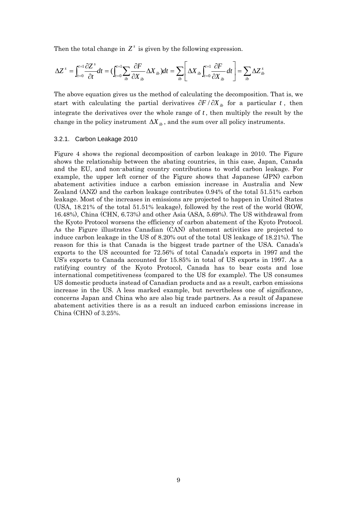<span id="page-11-0"></span>Then the total change in  $Z^s$  is given by the following expression.

$$
\Delta Z^{s} = \int_{t=0}^{t=1} \frac{\partial Z^{s}}{\partial t} dt = \left( \int_{t=0}^{t=1} \sum_{ib} \frac{\partial F}{\partial X_{ib}} \Delta X_{ib} \right) dt = \sum_{ib} \left[ \Delta X_{ib} \int_{t=0}^{t=1} \frac{\partial F}{\partial X_{ib}} dt \right] = \sum_{ib} \Delta Z^{s}_{ib}
$$

The above equation gives us the method of calculating the decomposition. That is, we start with calculating the partial derivatives  $\partial F / \partial X_{ik}$  for a particular *t*, then integrate the derivatives over the whole range of  $t$ , then multiply the result by the change in the policy instrument  $\Delta X_{ik}$ , and the sum over all policy instruments.

#### 3.2.1. Carbon Leakage 2010

Figure 4 shows the regional decomposition of carbon leakage in 2010. The Figure shows the relationship between the abating countries, in this case, Japan, Canada and the EU, and non-abating country contributions to world carbon leakage. For example, the upper left corner of the Figure shows that Japanese (JPN) carbon abatement activities induce a carbon emission increase in Australia and New Zealand (ANZ) and the carbon leakage contributes 0.94% of the total 51.51% carbon leakage. Most of the increases in emissions are projected to happen in United States (USA, 18.21% of the total 51.51% leakage), followed by the rest of the world (ROW, 16.48%), China (CHN, 6.73%) and other Asia (ASA, 5.69%). The US withdrawal from the Kyoto Protocol worsens the efficiency of carbon abatement of the Kyoto Protocol. As the Figure illustrates Canadian (CAN) abatement activities are projected to induce carbon leakage in the US of 8.20% out of the total US leakage of 18.21%). The reason for this is that Canada is the biggest trade partner of the USA. Canada's exports to the US accounted for 72.56% of total Canada's exports in 1997 and the US's exports to Canada accounted for 15.85% in total of US exports in 1997. As a ratifying country of the Kyoto Protocol, Canada has to bear costs and lose international competitiveness (compared to the US for example). The US consumes US domestic products instead of Canadian products and as a result, carbon emissions increase in the US. A less marked example, but nevertheless one of significance, concerns Japan and China who are also big trade partners. As a result of Japanese abatement activities there is as a result an induced carbon emissions increase in China (CHN) of 3.25%.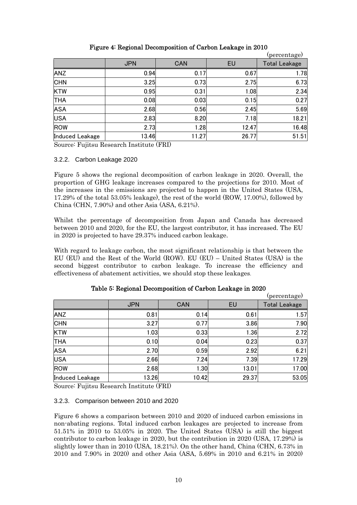<span id="page-12-0"></span>

|                 |            |       |       | (percentage)         |
|-----------------|------------|-------|-------|----------------------|
|                 | <b>JPN</b> | CAN   | EU    | <b>Total Leakage</b> |
| <b>ANZ</b>      | 0.94       | 0.17  | 0.67  | 1.78                 |
| <b>CHN</b>      | 3.25       | 0.73  | 2.75  | 6.73                 |
| <b>KTW</b>      | 0.95       | 0.31  | 1.08  | 2.34                 |
| <b>THA</b>      | 0.08       | 0.03  | 0.15  | 0.27                 |
| <b>ASA</b>      | 2.68       | 0.56  | 2.45  | 5.69                 |
| <b>USA</b>      | 2.83       | 8.20  | 7.18  | 18.21                |
| ROW             | 2.73       | 1.28  | 12.47 | 16.48                |
| Induced Leakage | 13.46      | 11.27 | 26.77 | 51.51                |

#### Figure 4: Regional Decomposition of Carbon Leakage in 2010

Source: Fujitsu Research Institute (FRI)

#### 3.2.2. Carbon Leakage 2020

Figure 5 shows the regional decomposition of carbon leakage in 2020. Overall, the proportion of GHG leakage increases compared to the projections for 2010. Most of the increases in the emissions are projected to happen in the United States (USA, 17.29% of the total 53.05% leakage), the rest of the world (ROW, 17.00%), followed by China (CHN, 7.90%) and other Asia (ASA, 6.21%).

Whilst the percentage of decomposition from Japan and Canada has decreased between 2010 and 2020, for the EU, the largest contributor, it has increased. The EU in 2020 is projected to have 29.37% induced carbon leakage.

With regard to leakage carbon, the most significant relationship is that between the EU (EU) and the Rest of the World (ROW). EU (EU) – United States (USA) is the second biggest contributor to carbon leakage. To increase the efficiency and effectiveness of abatement activities, we should stop these leakages.

|                        |            |            |       | (percentage)         |
|------------------------|------------|------------|-------|----------------------|
|                        | <b>JPN</b> | <b>CAN</b> | EU    | <b>Total Leakage</b> |
| <b>ANZ</b>             | 0.81       | 0.14       | 0.61  | 1.57                 |
| <b>CHN</b>             | 3.27       | 0.77       | 3.86  | 7.90                 |
| <b>KTW</b>             | 1.03       | 0.33       | 1.36  | 2.72                 |
| <b>THA</b>             | 0.10       | 0.04       | 0.23  | 0.37                 |
| <b>ASA</b>             | 2.70       | 0.59       | 2.92  | 6.21                 |
| <b>USA</b>             | 2.66       | 7.24       | 7.39  | 17.29                |
| <b>ROW</b>             | 2.68       | 1.30       | 13.01 | 17.00                |
| <b>Induced Leakage</b> | 13.26      | 10.42      | 29.37 | 53.05                |

#### Table 5: Regional Decomposition of Carbon Leakage in 2020

Source: Fujitsu Research Institute (FRI)

#### 3.2.3. Comparison between 2010 and 2020

Figure 6 shows a comparison between 2010 and 2020 of induced carbon emissions in non-abating regions. Total induced carbon leakages are projected to increase from 51.51% in 2010 to 53.05% in 2020. The United States (USA) is still the biggest contributor to carbon leakage in 2020, but the contribution in 2020 (USA, 17.29%) is slightly lower than in 2010 (USA, 18.21%). On the other hand, China (CHN, 6.73% in 2010 and 7.90% in 2020) and other Asia (ASA, 5.69% in 2010 and 6.21% in 2020)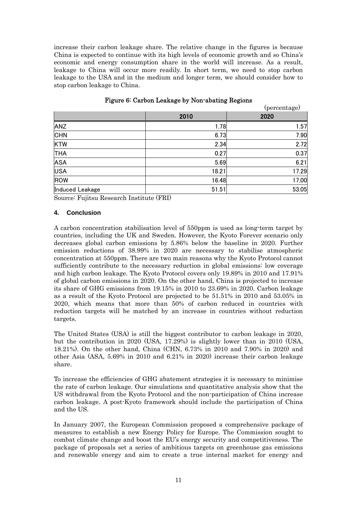<span id="page-13-0"></span>increase their carbon leakage share. The relative change in the figures is because China is expected to continue with its high levels of economic growth and so China's economic and energy consumption share in the world will increase. As a result, leakage to China will occur more readily. In short term, we need to stop carbon leakage to the USA and in the medium and longer term, we should consider how to stop carbon leakage to China.

|                 |       | (percentage) |
|-----------------|-------|--------------|
|                 | 2010  | 2020         |
| <b>ANZ</b>      | 1.78  | 1.57         |
| <b>CHN</b>      | 6.73  | 7.90         |
| <b>KTW</b>      | 2.34  | 2.72         |
| <b>THA</b>      | 0.27  | 0.37         |
| <b>ASA</b>      | 5.69  | 6.21         |
| <b>USA</b>      | 18.21 | 17.29        |
| ROW             | 16.48 | 17.00        |
| Induced Leakage | 51.51 | 53.05        |

#### Figure 6: Carbon Leakage by Non-abating Regions

Source: Fujitsu Research Institute (FRI)

#### **4. Conclusion**

A carbon concentration stabilisation level of 550ppm is used as long-term target by countries, including the UK and Sweden. However, the Kyoto Forever scenario only decreases global carbon emissions by 5.86% below the baseline in 2020. Further emission reductions of 38.99% in 2020 are necessary to stabilise atmospheric concentration at 550ppm. There are two main reasons why the Kyoto Protocol cannot sufficiently contribute to the necessary reduction in global emissions: low coverage and high carbon leakage. The Kyoto Protocol covers only 19.89% in 2010 and 17.91% of global carbon emissions in 2020. On the other hand, China is projected to increase its share of GHG emissions from 19.15% in 2010 to 23.69% in 2020. Carbon leakage as a result of the Kyoto Protocol are projected to be 51.51% in 2010 and 53.05% in 2020, which means that more than 50% of carbon reduced in countries with reduction targets will be matched by an increase in countries without reduction targets.

The United States (USA) is still the biggest contributor to carbon leakage in 2020, but the contribution in 2020 (USA, 17.29%) is slightly lower than in 2010 (USA, 18.21%). On the other hand, China (CHN, 6.73% in 2010 and 7.90% in 2020) and other Asia (ASA, 5.69% in 2010 and 6.21% in 2020) increase their carbon leakage share.

To increase the efficiencies of GHG abatement strategies it is necessary to minimise the rate of carbon leakage. Our simulations and quantitative analysis show that the US withdrawal from the Kyoto Protocol and the non-participation of China increase carbon leakage. A post-Kyoto framework should include the participation of China and the US.

In January 2007, the European Commission proposed a comprehensive package of measures to establish a new Energy Policy for Europe. The Commission sought to combat climate change and boost the EU's energy security and competitiveness. The package of proposals set a series of ambitious targets on greenhouse gas emissions and renewable energy and aim to create a true internal market for energy and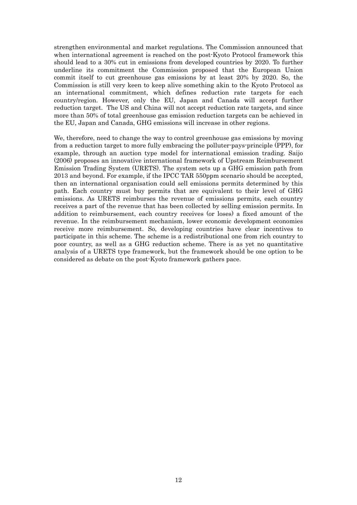strengthen environmental and market regulations. The Commission announced that when international agreement is reached on the post-Kyoto Protocol framework this should lead to a 30% cut in emissions from developed countries by 2020. To further underline its commitment the Commission proposed that the European Union commit itself to cut greenhouse gas emissions by at least 20% by 2020. So, the Commission is still very keen to keep alive something akin to the Kyoto Protocol as an international commitment, which defines reduction rate targets for each country/region. However, only the EU, Japan and Canada will accept further reduction target. The US and China will not accept reduction rate targets, and since more than 50% of total greenhouse gas emission reduction targets can be achieved in the EU, Japan and Canada, GHG emissions will increase in other regions.

We, therefore, need to change the way to control greenhouse gas emissions by moving from a reduction target to more fully embracing the polluter-pays-principle (PPP), for example, through an auction type model for international emission trading. Saijo (2006) proposes an innovative international framework of Upstream Reimbursement Emission Trading System (URETS). The system sets up a GHG emission path from 2013 and beyond. For example, if the IPCC TAR 550ppm scenario should be accepted, then an international organisation could sell emissions permits determined by this path. Each country must buy permits that are equivalent to their level of GHG emissions. As URETS reimburses the revenue of emissions permits, each country receives a part of the revenue that has been collected by selling emission permits. In addition to reimbursement, each country receives (or loses) a fixed amount of the revenue. In the reimbursement mechanism, lower economic development economies receive more reimbursement. So, developing countries have clear incentives to participate in this scheme. The scheme is a redistributional one from rich country to poor country, as well as a GHG reduction scheme. There is as yet no quantitative analysis of a URETS type framework, but the framework should be one option to be considered as debate on the post-Kyoto framework gathers pace.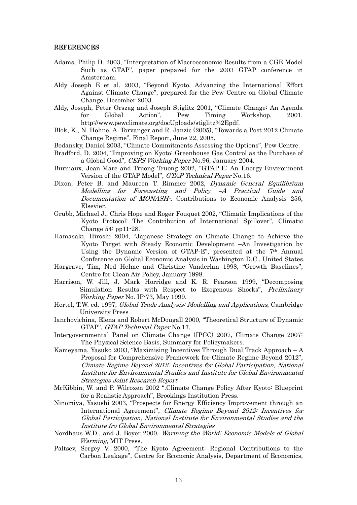#### REFERENCES

- Adams, Philip D. 2003, "Interpretation of Macroeconomic Results from a CGE Model Such as GTAP", paper prepared for the 2003 GTAP conference in Amsterdam.
- Aldy Joseph E et al. 2003, "Beyond Kyoto, Advancing the International Effort Against Climate Change", prepared for the Pew Centre on Global Climate Change, December 2003.
- Aldy, Joseph, Peter Orszag and Joseph Stiglitz 2001, "Climate Change: An Agenda for Global Action", Pew Timing Workshop, 2001. http://www.pewclimate.org/docUploads/stiglitz%2Epdf.
- Blok, K., N. Hohne, A. Torvanger and R. Janzic (2005), "Towards a Post-2012 Climate Change Regime", Final Report, June 22, 2005.
- Bodansky, Daniel 2003, "Climate Commitments Assessing the Options", Pew Centre.
- Bradford, D. 2004, "Improving on Kyoto: Greenhouse Gas Control as the Purchase of a Global Good", CEPS Working Paper No.96, January 2004.
- Burniaux, Jean-Marc and Truong Truong 2002, "GTAP-E: An Energy-Environment Version of the GTAP Model", GTAP Technical Paper No.16.
- Dixon, Peter B. and Maureen T. Rimmer 2002, *Dynamic General Equilibrium* Modelling for Forecasting and Policy –A Practical Guide and Documentation of MONASH-, Contributions to Economic Analysis 256, Elsevier.
- Grubb, Michael J., Chris Hope and Roger Fouquet 2002, "Climatic Implications of the Kyoto Protocol: The Contribution of International Spillover", Climatic Change 54: pp11-28.
- Hamasaki, Hiroshi 2004, "Japanese Strategy on Climate Change to Achieve the Kyoto Target with Steady Economic Development –An Investigation by Using the Dynamic Version of GTAP-E", presented at the 7th Annual Conference on Global Economic Analysis in Washington D.C., United States.
- Hargrave, Tim, Ned Helme and Christine Vanderlan 1998, "Growth Baselines", Centre for Clean Air Policy, January 1998.
- Harrison, W. Jill, J. Mark Horridge and K. R. Pearson 1999, "Decomposing Simulation Results with Respect to Exogenous Shocks", Preliminary Working Paper No. IP-73, May 1999.
- Hertel, T.W. ed. 1997, Global Trade Analysis: Modelling and Applications, Cambridge University Press
- Ianchovichina, Elena and Robert McDougall 2000, "Theoretical Structure of Dynamic GTAP", GTAP Technical Paper No.17.
- Intergovernmental Panel on Climate Change (IPCC) 2007, Climate Change 2007: The Physical Science Basis, Summary for Policymakers.
- Kameyama, Yasuko 2003, "Maximising Incentives Through Dual Track Approach A Proposal for Comprehensive Framework for Climate Regime Beyond 2012", Climate Regime Beyond 2012: Incentives for Global Participation, National Institute for Environmental Studies and Institute for Global Environmental Strategies Joint Research Report.
- McKibbin, W. and P. Wilcoxen 2002 ".Climate Change Policy After Kyoto: Blueprint for a Realistic Approach", Brookings Institution Press.
- Ninomiya, Yasushi 2003, "Prospects for Energy Efficiency Improvement through an International Agreement", Climate Regime Beyond 2012: Incentives for Global Participation, National Institute for Environmental Studies and the Institute fro Global Environmental Strategies
- Nordhaus W.D., and J. Boyer 2000, Warming the World: Economic Models of Global Warming, MIT Press.
- Paltsev, Sergey V. 2000, "The Kyoto Agreement: Regional Contributions to the Carbon Leakage", Centre for Economic Analysis, Department of Economics,